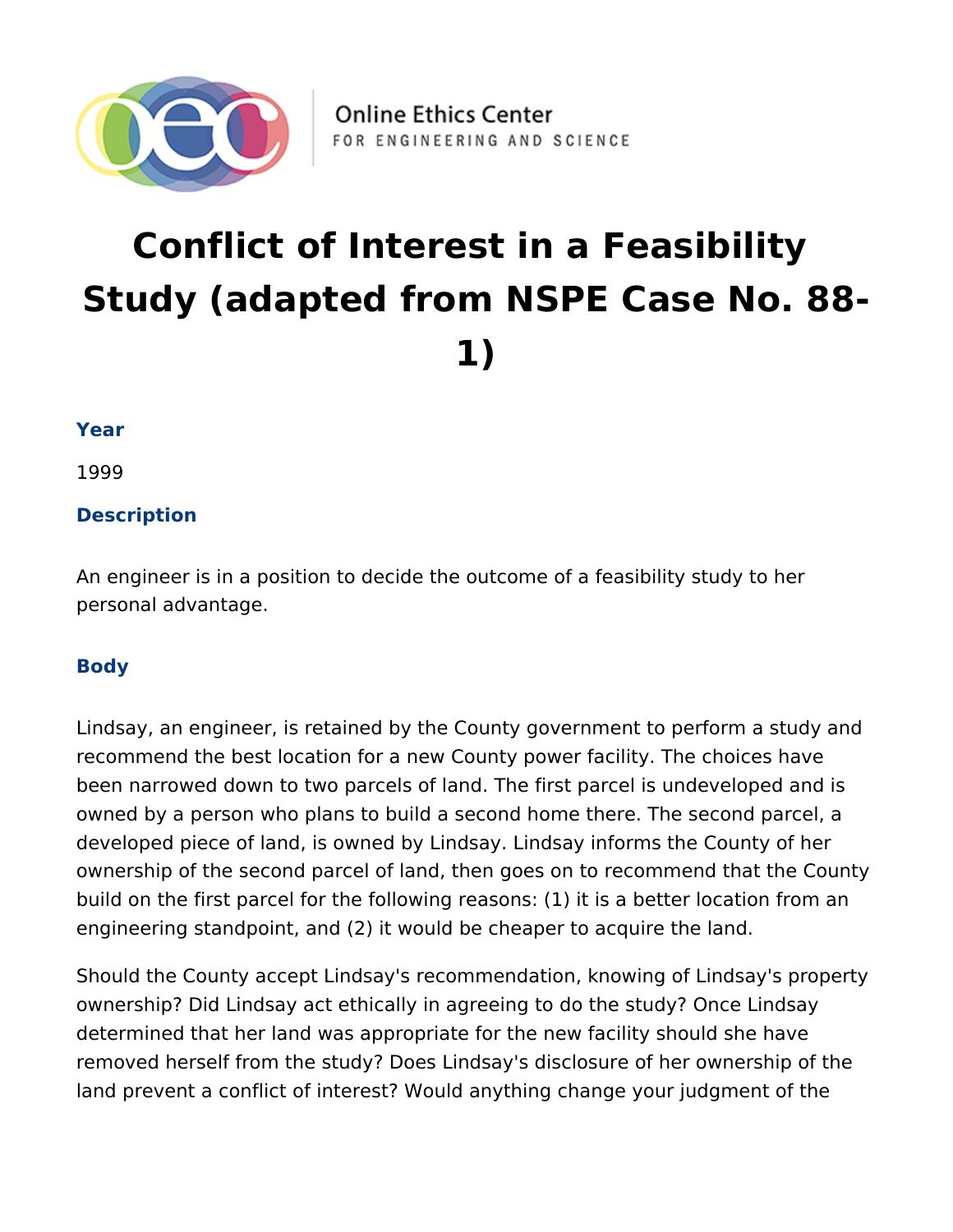

# **Conflict of Interest in a Feasibility Study (adapted from NSPE Case No. 88- 1)**

## **Year**

1999

# **Description**

An engineer is in a position to decide the outcome of a feasibility study to her personal advantage.

## **Body**

Lindsay, an engineer, is retained by the County government to perform a study and recommend the best location for a new County power facility. The choices have been narrowed down to two parcels of land. The first parcel is undeveloped and is owned by a person who plans to build a second home there. The second parcel, a developed piece of land, is owned by Lindsay. Lindsay informs the County of her ownership of the second parcel of land, then goes on to recommend that the County build on the first parcel for the following reasons: (1) it is a better location from an engineering standpoint, and (2) it would be cheaper to acquire the land.

Should the County accept Lindsay's recommendation, knowing of Lindsay's property ownership? Did Lindsay act ethically in agreeing to do the study? Once Lindsay determined that her land was appropriate for the new facility should she have removed herself from the study? Does Lindsay's disclosure of her ownership of the land prevent a conflict of interest? Would anything change your judgment of the